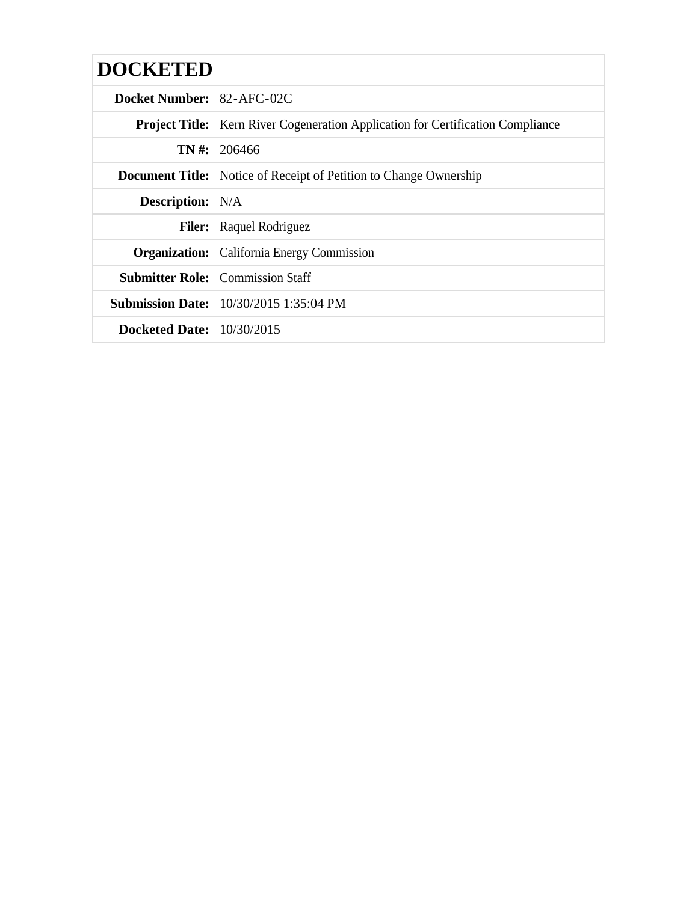| <b>DOCKETED</b>                    |                                                                                          |
|------------------------------------|------------------------------------------------------------------------------------------|
| <b>Docket Number:</b> 82-AFC-02C   |                                                                                          |
|                                    | <b>Project Title:</b>   Kern River Cogeneration Application for Certification Compliance |
|                                    | <b>TN</b> #: 206466                                                                      |
|                                    | <b>Document Title:</b> Notice of Receipt of Petition to Change Ownership                 |
| <b>Description:</b> N/A            |                                                                                          |
|                                    | <b>Filer:</b> Raquel Rodriguez                                                           |
|                                    | <b>Organization:</b> California Energy Commission                                        |
|                                    | <b>Submitter Role:</b> Commission Staff                                                  |
|                                    | <b>Submission Date:</b> 10/30/2015 1:35:04 PM                                            |
| <b>Docketed Date:</b> $10/30/2015$ |                                                                                          |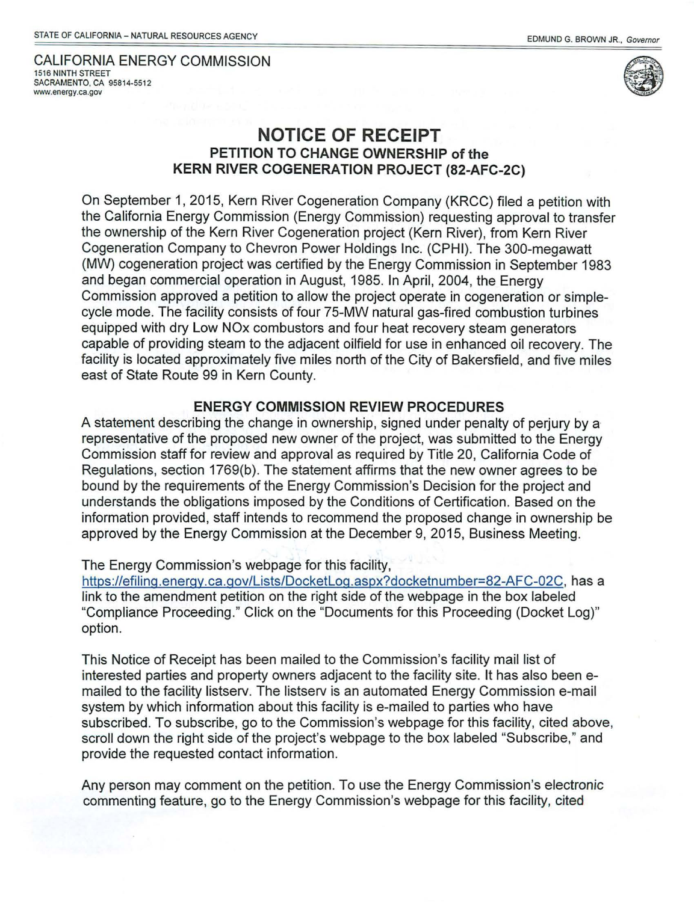CALIFORNIA ENERGY COMMISSION 1516 NINTH STREET SACRAMENTO, CA 95814-5512 www.energy.ca.gov



## **NOTICE OF RECEIPT PETITION TO CHANGE OWNERSHIP of the KERN RIVER COGENERATION PROJECT (82-AFC-2C)**

On September 1, 2015, Kern River Cogeneration Company (KRCC) filed a petition with the California Energy Commission (Energy Commission) requesting approval to transfer the ownership of the Kern River Cogeneration project (Kern River), from Kern River Cogeneration Company to Chevron Power Holdings Inc. (CPHI). The 300-megawatt (MW) cogeneration project was certified by the Energy Commission in September 1983 and began commercial operation in August, 1985. In April, 2004, the Energy Commission approved a petition to allow the project operate in cogeneration or simplecycle mode. The facility consists of four 75-MW natural gas-fired combustion turbines equipped with dry Low NOx combustors and four heat recovery steam generators capable of providing steam to the adjacent oilfield for use in enhanced oil recovery. The facility is located approximately five miles north of the City of Bakersfield, and five miles east of State Route 99 in Kern County.

## **ENERGY COMMISSION REVIEW PROCEDURES**

A statement describing the change in ownership, signed under penalty of perjury by a representative of the proposed new owner of the project, was submitted to the Energy Commission staff for review and approval as required by Title 20, California Code of Regulations, section 1769(b). The statement affirms that the new owner agrees to be bound by the requirements of the Energy Commission's Decision for the project and understands the obligations imposed by the Conditions of Certification. Based on the information provided, staff intends to recommend the proposed change in ownership be approved by the Energy Commission at the December 9, 2015, Business Meeting.

## The Energy Commission's webpage for this facility,

https://efiling.energy.ca.gov/Lists/DocketLog.aspx?docketnumber=82-AFC-02C, has a link to the amendment petition on the right side of the webpage in the box labeled "Compliance Proceeding." Click on the "Documents for this Proceeding (Docket Log)" option.

This Notice of Receipt has been mailed to the Commission's facility mail list of interested parties and property owners adjacent to the facility site. It has also been emailed to the facility listserv. The listserv is an automated Energy Commission e-mail system by which information about this facility is e-mailed to parties who have subscribed. To subscribe, go to the Commission's webpage for this facility, cited above, scroll down the right side of the project's webpage to the box labeled "Subscribe," and provide the requested contact information.

Any person may comment on the petition. To use the Energy Commission's electronic commenting feature, go to the Energy Commission's webpage for this facility, cited